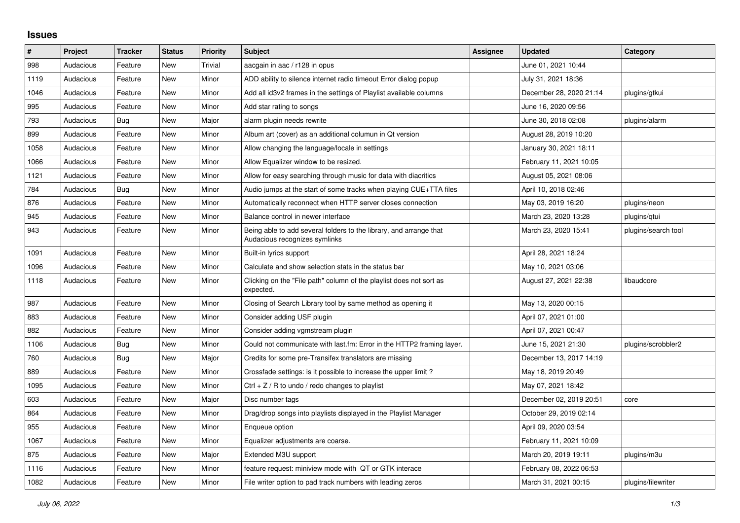## **Issues**

| #    | Project   | <b>Tracker</b> | <b>Status</b> | <b>Priority</b> | <b>Subject</b>                                                                                      | <b>Assignee</b> | <b>Updated</b>          | Category            |
|------|-----------|----------------|---------------|-----------------|-----------------------------------------------------------------------------------------------------|-----------------|-------------------------|---------------------|
| 998  | Audacious | Feature        | New           | Trivial         | aacgain in aac / r128 in opus                                                                       |                 | June 01, 2021 10:44     |                     |
| 1119 | Audacious | Feature        | <b>New</b>    | Minor           | ADD ability to silence internet radio timeout Error dialog popup                                    |                 | July 31, 2021 18:36     |                     |
| 1046 | Audacious | Feature        | <b>New</b>    | Minor           | Add all id3v2 frames in the settings of Playlist available columns                                  |                 | December 28, 2020 21:14 | plugins/gtkui       |
| 995  | Audacious | Feature        | New           | Minor           | Add star rating to songs                                                                            |                 | June 16, 2020 09:56     |                     |
| 793  | Audacious | Bug            | New           | Major           | alarm plugin needs rewrite                                                                          |                 | June 30, 2018 02:08     | plugins/alarm       |
| 899  | Audacious | Feature        | <b>New</b>    | Minor           | Album art (cover) as an additional columun in Qt version                                            |                 | August 28, 2019 10:20   |                     |
| 1058 | Audacious | Feature        | New           | Minor           | Allow changing the language/locale in settings                                                      |                 | January 30, 2021 18:11  |                     |
| 1066 | Audacious | Feature        | <b>New</b>    | Minor           | Allow Equalizer window to be resized.                                                               |                 | February 11, 2021 10:05 |                     |
| 1121 | Audacious | Feature        | New           | Minor           | Allow for easy searching through music for data with diacritics                                     |                 | August 05, 2021 08:06   |                     |
| 784  | Audacious | <b>Bug</b>     | New           | Minor           | Audio jumps at the start of some tracks when playing CUE+TTA files                                  |                 | April 10, 2018 02:46    |                     |
| 876  | Audacious | Feature        | New           | Minor           | Automatically reconnect when HTTP server closes connection                                          |                 | May 03, 2019 16:20      | plugins/neon        |
| 945  | Audacious | Feature        | <b>New</b>    | Minor           | Balance control in newer interface                                                                  |                 | March 23, 2020 13:28    | plugins/qtui        |
| 943  | Audacious | Feature        | New           | Minor           | Being able to add several folders to the library, and arrange that<br>Audacious recognizes symlinks |                 | March 23, 2020 15:41    | plugins/search tool |
| 1091 | Audacious | Feature        | New           | Minor           | Built-in lyrics support                                                                             |                 | April 28, 2021 18:24    |                     |
| 1096 | Audacious | Feature        | <b>New</b>    | Minor           | Calculate and show selection stats in the status bar                                                |                 | May 10, 2021 03:06      |                     |
| 1118 | Audacious | Feature        | <b>New</b>    | Minor           | Clicking on the "File path" column of the playlist does not sort as<br>expected.                    |                 | August 27, 2021 22:38   | libaudcore          |
| 987  | Audacious | Feature        | New           | Minor           | Closing of Search Library tool by same method as opening it                                         |                 | May 13, 2020 00:15      |                     |
| 883  | Audacious | Feature        | <b>New</b>    | Minor           | Consider adding USF plugin                                                                          |                 | April 07, 2021 01:00    |                     |
| 882  | Audacious | Feature        | New           | Minor           | Consider adding vgmstream plugin                                                                    |                 | April 07, 2021 00:47    |                     |
| 1106 | Audacious | Bug            | New           | Minor           | Could not communicate with last.fm: Error in the HTTP2 framing layer.                               |                 | June 15, 2021 21:30     | plugins/scrobbler2  |
| 760  | Audacious | Bug            | New           | Major           | Credits for some pre-Transifex translators are missing                                              |                 | December 13, 2017 14:19 |                     |
| 889  | Audacious | Feature        | New           | Minor           | Crossfade settings: is it possible to increase the upper limit?                                     |                 | May 18, 2019 20:49      |                     |
| 1095 | Audacious | Feature        | New           | Minor           | Ctrl $+$ Z / R to undo / redo changes to playlist                                                   |                 | May 07, 2021 18:42      |                     |
| 603  | Audacious | Feature        | New           | Major           | Disc number tags                                                                                    |                 | December 02, 2019 20:51 | core                |
| 864  | Audacious | Feature        | New           | Minor           | Drag/drop songs into playlists displayed in the Playlist Manager                                    |                 | October 29, 2019 02:14  |                     |
| 955  | Audacious | Feature        | <b>New</b>    | Minor           | Enqueue option                                                                                      |                 | April 09, 2020 03:54    |                     |
| 1067 | Audacious | Feature        | New           | Minor           | Equalizer adjustments are coarse.                                                                   |                 | February 11, 2021 10:09 |                     |
| 875  | Audacious | Feature        | New           | Major           | Extended M3U support                                                                                |                 | March 20, 2019 19:11    | plugins/m3u         |
| 1116 | Audacious | Feature        | <b>New</b>    | Minor           | feature request: miniview mode with QT or GTK interace                                              |                 | February 08, 2022 06:53 |                     |
| 1082 | Audacious | Feature        | New           | Minor           | File writer option to pad track numbers with leading zeros                                          |                 | March 31, 2021 00:15    | plugins/filewriter  |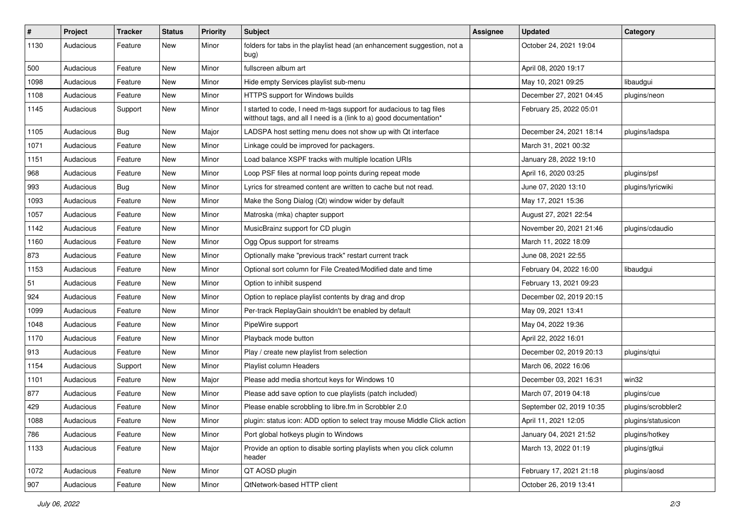| #    | Project   | <b>Tracker</b> | <b>Status</b> | <b>Priority</b> | <b>Subject</b>                                                                                                                            | <b>Assignee</b> | <b>Updated</b>           | Category           |
|------|-----------|----------------|---------------|-----------------|-------------------------------------------------------------------------------------------------------------------------------------------|-----------------|--------------------------|--------------------|
| 1130 | Audacious | Feature        | New           | Minor           | folders for tabs in the playlist head (an enhancement suggestion, not a<br>bug)                                                           |                 | October 24, 2021 19:04   |                    |
| 500  | Audacious | Feature        | New           | Minor           | fullscreen album art                                                                                                                      |                 | April 08, 2020 19:17     |                    |
| 1098 | Audacious | Feature        | New           | Minor           | Hide empty Services playlist sub-menu                                                                                                     |                 | May 10, 2021 09:25       | libaudqui          |
| 1108 | Audacious | Feature        | New           | Minor           | HTTPS support for Windows builds                                                                                                          |                 | December 27, 2021 04:45  | plugins/neon       |
| 1145 | Audacious | Support        | New           | Minor           | I started to code, I need m-tags support for audacious to tag files<br>witthout tags, and all I need is a (link to a) good documentation* |                 | February 25, 2022 05:01  |                    |
| 1105 | Audacious | Bug            | New           | Major           | LADSPA host setting menu does not show up with Qt interface                                                                               |                 | December 24, 2021 18:14  | plugins/ladspa     |
| 1071 | Audacious | Feature        | New           | Minor           | Linkage could be improved for packagers.                                                                                                  |                 | March 31, 2021 00:32     |                    |
| 1151 | Audacious | Feature        | <b>New</b>    | Minor           | Load balance XSPF tracks with multiple location URIs                                                                                      |                 | January 28, 2022 19:10   |                    |
| 968  | Audacious | Feature        | New           | Minor           | Loop PSF files at normal loop points during repeat mode                                                                                   |                 | April 16, 2020 03:25     | plugins/psf        |
| 993  | Audacious | <b>Bug</b>     | New           | Minor           | Lyrics for streamed content are written to cache but not read.                                                                            |                 | June 07, 2020 13:10      | plugins/lyricwiki  |
| 1093 | Audacious | Feature        | New           | Minor           | Make the Song Dialog (Qt) window wider by default                                                                                         |                 | May 17, 2021 15:36       |                    |
| 1057 | Audacious | Feature        | New           | Minor           | Matroska (mka) chapter support                                                                                                            |                 | August 27, 2021 22:54    |                    |
| 1142 | Audacious | Feature        | <b>New</b>    | Minor           | MusicBrainz support for CD plugin                                                                                                         |                 | November 20, 2021 21:46  | plugins/cdaudio    |
| 1160 | Audacious | Feature        | New           | Minor           | Ogg Opus support for streams                                                                                                              |                 | March 11, 2022 18:09     |                    |
| 873  | Audacious | Feature        | New           | Minor           | Optionally make "previous track" restart current track                                                                                    |                 | June 08, 2021 22:55      |                    |
| 1153 | Audacious | Feature        | New           | Minor           | Optional sort column for File Created/Modified date and time                                                                              |                 | February 04, 2022 16:00  | libaudgui          |
| 51   | Audacious | Feature        | New           | Minor           | Option to inhibit suspend                                                                                                                 |                 | February 13, 2021 09:23  |                    |
| 924  | Audacious | Feature        | <b>New</b>    | Minor           | Option to replace playlist contents by drag and drop                                                                                      |                 | December 02, 2019 20:15  |                    |
| 1099 | Audacious | Feature        | New           | Minor           | Per-track ReplayGain shouldn't be enabled by default                                                                                      |                 | May 09, 2021 13:41       |                    |
| 1048 | Audacious | Feature        | New           | Minor           | PipeWire support                                                                                                                          |                 | May 04, 2022 19:36       |                    |
| 1170 | Audacious | Feature        | New           | Minor           | Playback mode button                                                                                                                      |                 | April 22, 2022 16:01     |                    |
| 913  | Audacious | Feature        | New           | Minor           | Play / create new playlist from selection                                                                                                 |                 | December 02, 2019 20:13  | plugins/qtui       |
| 1154 | Audacious | Support        | New           | Minor           | Playlist column Headers                                                                                                                   |                 | March 06, 2022 16:06     |                    |
| 1101 | Audacious | Feature        | New           | Major           | Please add media shortcut keys for Windows 10                                                                                             |                 | December 03, 2021 16:31  | win32              |
| 877  | Audacious | Feature        | New           | Minor           | Please add save option to cue playlists (patch included)                                                                                  |                 | March 07, 2019 04:18     | plugins/cue        |
| 429  | Audacious | Feature        | <b>New</b>    | Minor           | Please enable scrobbling to libre.fm in Scrobbler 2.0                                                                                     |                 | September 02, 2019 10:35 | plugins/scrobbler2 |
| 1088 | Audacious | Feature        | New           | Minor           | plugin: status icon: ADD option to select tray mouse Middle Click action                                                                  |                 | April 11, 2021 12:05     | plugins/statusicon |
| 786  | Audacious | Feature        | New           | Minor           | Port global hotkeys plugin to Windows                                                                                                     |                 | January 04, 2021 21:52   | plugins/hotkey     |
| 1133 | Audacious | Feature        | New           | Major           | Provide an option to disable sorting playlists when you click column<br>header                                                            |                 | March 13, 2022 01:19     | plugins/gtkui      |
| 1072 | Audacious | Feature        | New           | Minor           | QT AOSD plugin                                                                                                                            |                 | February 17, 2021 21:18  | plugins/aosd       |
| 907  | Audacious | Feature        | New           | Minor           | QtNetwork-based HTTP client                                                                                                               |                 | October 26, 2019 13:41   |                    |